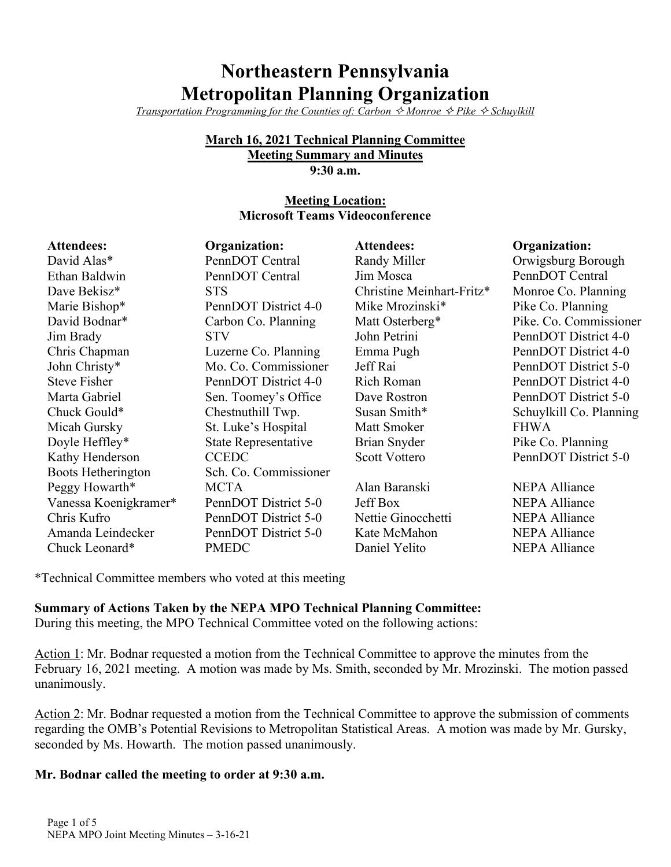# **Northeastern Pennsylvania Metropolitan Planning Organization**

*Transportation Programming for the Counties of: Carbon*  $\Diamond$  *Monroe*  $\Diamond$  *Pike*  $\Diamond$  *Schuylkill* 

#### **March 16, 2021 Technical Planning Committee Meeting Summary and Minutes 9:30 a.m.**

## **Meeting Location: Microsoft Teams Videoconference**

| <b>Attendees:</b>     | Organization:         | <b>Attendees:</b>         | Organization:           |
|-----------------------|-----------------------|---------------------------|-------------------------|
| David Alas*           | PennDOT Central       | Randy Miller              | Orwigsburg Borough      |
| Ethan Baldwin         | PennDOT Central       | Jim Mosca                 | PennDOT Central         |
| Dave Bekisz*          | <b>STS</b>            | Christine Meinhart-Fritz* | Monroe Co. Planning     |
| Marie Bishop*         | PennDOT District 4-0  | Mike Mrozinski*           | Pike Co. Planning       |
| David Bodnar*         | Carbon Co. Planning   | Matt Osterberg*           | Pike. Co. Commissioner  |
| Jim Brady             | <b>STV</b>            | John Petrini              | PennDOT District 4-0    |
| Chris Chapman         | Luzerne Co. Planning  | Emma Pugh                 | PennDOT District 4-0    |
| John Christy*         | Mo. Co. Commissioner  | Jeff Rai                  | PennDOT District 5-0    |
| <b>Steve Fisher</b>   | PennDOT District 4-0  | Rich Roman                | PennDOT District 4-0    |
| Marta Gabriel         | Sen. Toomey's Office  | Dave Rostron              | PennDOT District 5-0    |
| Chuck Gould*          | Chestnuthill Twp.     | Susan Smith*              | Schuylkill Co. Planning |
| Micah Gursky          | St. Luke's Hospital   | Matt Smoker               | <b>FHWA</b>             |
| Doyle Heffley*        | State Representative  | Brian Snyder              | Pike Co. Planning       |
| Kathy Henderson       | <b>CCEDC</b>          | <b>Scott Vottero</b>      | PennDOT District 5-0    |
| Boots Hetherington    | Sch. Co. Commissioner |                           |                         |
| Peggy Howarth*        | <b>MCTA</b>           | Alan Baranski             | <b>NEPA Alliance</b>    |
| Vanessa Koenigkramer* | PennDOT District 5-0  | <b>Jeff Box</b>           | <b>NEPA Alliance</b>    |
| Chris Kufro           | PennDOT District 5-0  | Nettie Ginocchetti        | <b>NEPA Alliance</b>    |
| Amanda Leindecker     | PennDOT District 5-0  | Kate McMahon              | <b>NEPA Alliance</b>    |
| Chuck Leonard*        | <b>PMEDC</b>          | Daniel Yelito             | <b>NEPA Alliance</b>    |

\*Technical Committee members who voted at this meeting

**Summary of Actions Taken by the NEPA MPO Technical Planning Committee:**

During this meeting, the MPO Technical Committee voted on the following actions:

Action 1: Mr. Bodnar requested a motion from the Technical Committee to approve the minutes from the February 16, 2021 meeting. A motion was made by Ms. Smith, seconded by Mr. Mrozinski. The motion passed unanimously.

Action 2: Mr. Bodnar requested a motion from the Technical Committee to approve the submission of comments regarding the OMB's Potential Revisions to Metropolitan Statistical Areas. A motion was made by Mr. Gursky, seconded by Ms. Howarth. The motion passed unanimously.

# **Mr. Bodnar called the meeting to order at 9:30 a.m.**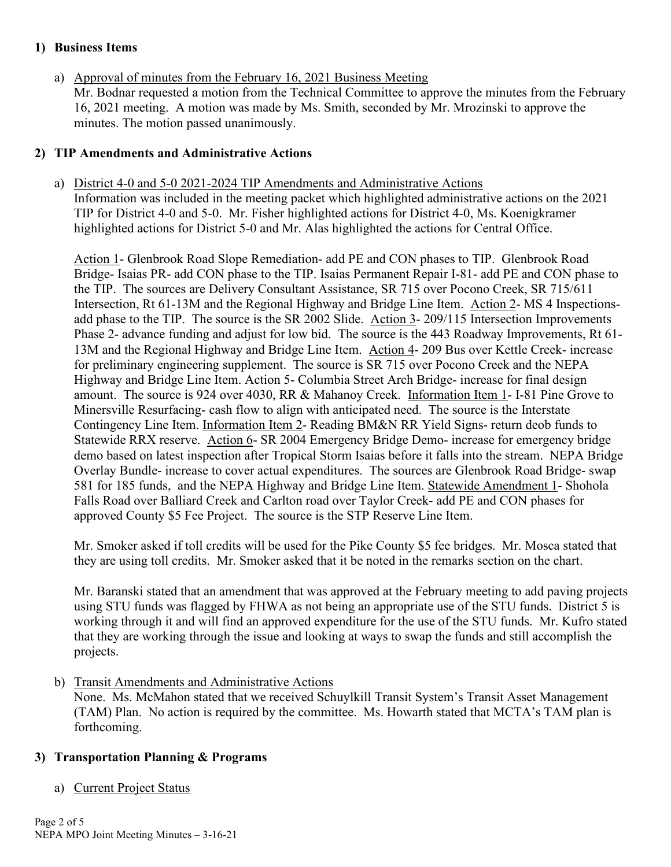## **1) Business Items**

a) Approval of minutes from the February 16, 2021 Business Meeting Mr. Bodnar requested a motion from the Technical Committee to approve the minutes from the February 16, 2021 meeting. A motion was made by Ms. Smith, seconded by Mr. Mrozinski to approve the minutes. The motion passed unanimously.

## **2) TIP Amendments and Administrative Actions**

a) District 4-0 and 5-0 2021-2024 TIP Amendments and Administrative Actions Information was included in the meeting packet which highlighted administrative actions on the 2021 TIP for District 4-0 and 5-0. Mr. Fisher highlighted actions for District 4-0, Ms. Koenigkramer highlighted actions for District 5-0 and Mr. Alas highlighted the actions for Central Office.

Action 1- Glenbrook Road Slope Remediation- add PE and CON phases to TIP. Glenbrook Road Bridge- Isaias PR- add CON phase to the TIP. Isaias Permanent Repair I-81- add PE and CON phase to the TIP. The sources are Delivery Consultant Assistance, SR 715 over Pocono Creek, SR 715/611 Intersection, Rt 61-13M and the Regional Highway and Bridge Line Item. Action 2- MS 4 Inspectionsadd phase to the TIP. The source is the SR 2002 Slide. Action 3-209/115 Intersection Improvements Phase 2- advance funding and adjust for low bid. The source is the 443 Roadway Improvements, Rt 61- 13M and the Regional Highway and Bridge Line Item. Action 4- 209 Bus over Kettle Creek- increase for preliminary engineering supplement. The source is SR 715 over Pocono Creek and the NEPA Highway and Bridge Line Item. Action 5- Columbia Street Arch Bridge- increase for final design amount. The source is 924 over 4030, RR & Mahanoy Creek. Information Item 1- I-81 Pine Grove to Minersville Resurfacing- cash flow to align with anticipated need. The source is the Interstate Contingency Line Item. Information Item 2- Reading BM&N RR Yield Signs- return deob funds to Statewide RRX reserve. Action 6- SR 2004 Emergency Bridge Demo- increase for emergency bridge demo based on latest inspection after Tropical Storm Isaias before it falls into the stream. NEPA Bridge Overlay Bundle- increase to cover actual expenditures. The sources are Glenbrook Road Bridge- swap 581 for 185 funds, and the NEPA Highway and Bridge Line Item. Statewide Amendment 1- Shohola Falls Road over Balliard Creek and Carlton road over Taylor Creek- add PE and CON phases for approved County \$5 Fee Project. The source is the STP Reserve Line Item.

Mr. Smoker asked if toll credits will be used for the Pike County \$5 fee bridges. Mr. Mosca stated that they are using toll credits. Mr. Smoker asked that it be noted in the remarks section on the chart.

Mr. Baranski stated that an amendment that was approved at the February meeting to add paving projects using STU funds was flagged by FHWA as not being an appropriate use of the STU funds. District 5 is working through it and will find an approved expenditure for the use of the STU funds. Mr. Kufro stated that they are working through the issue and looking at ways to swap the funds and still accomplish the projects.

b) Transit Amendments and Administrative Actions

None. Ms. McMahon stated that we received Schuylkill Transit System's Transit Asset Management (TAM) Plan. No action is required by the committee. Ms. Howarth stated that MCTA's TAM plan is forthcoming.

## **3) Transportation Planning & Programs**

a) Current Project Status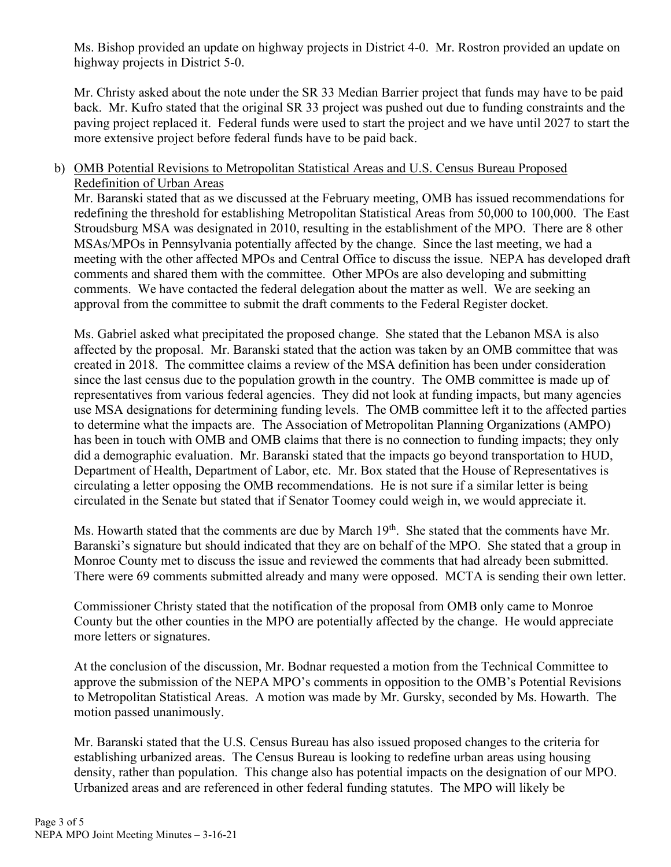Ms. Bishop provided an update on highway projects in District 4-0. Mr. Rostron provided an update on highway projects in District 5-0.

Mr. Christy asked about the note under the SR 33 Median Barrier project that funds may have to be paid back. Mr. Kufro stated that the original SR 33 project was pushed out due to funding constraints and the paving project replaced it. Federal funds were used to start the project and we have until 2027 to start the more extensive project before federal funds have to be paid back.

#### b) OMB Potential Revisions to Metropolitan Statistical Areas and U.S. Census Bureau Proposed Redefinition of Urban Areas

Mr. Baranski stated that as we discussed at the February meeting, OMB has issued recommendations for redefining the threshold for establishing Metropolitan Statistical Areas from 50,000 to 100,000. The East Stroudsburg MSA was designated in 2010, resulting in the establishment of the MPO. There are 8 other MSAs/MPOs in Pennsylvania potentially affected by the change. Since the last meeting, we had a meeting with the other affected MPOs and Central Office to discuss the issue. NEPA has developed draft comments and shared them with the committee. Other MPOs are also developing and submitting comments. We have contacted the federal delegation about the matter as well. We are seeking an approval from the committee to submit the draft comments to the Federal Register docket.

Ms. Gabriel asked what precipitated the proposed change. She stated that the Lebanon MSA is also affected by the proposal. Mr. Baranski stated that the action was taken by an OMB committee that was created in 2018. The committee claims a review of the MSA definition has been under consideration since the last census due to the population growth in the country. The OMB committee is made up of representatives from various federal agencies. They did not look at funding impacts, but many agencies use MSA designations for determining funding levels. The OMB committee left it to the affected parties to determine what the impacts are. The Association of Metropolitan Planning Organizations (AMPO) has been in touch with OMB and OMB claims that there is no connection to funding impacts; they only did a demographic evaluation. Mr. Baranski stated that the impacts go beyond transportation to HUD, Department of Health, Department of Labor, etc. Mr. Box stated that the House of Representatives is circulating a letter opposing the OMB recommendations. He is not sure if a similar letter is being circulated in the Senate but stated that if Senator Toomey could weigh in, we would appreciate it.

Ms. Howarth stated that the comments are due by March 19<sup>th</sup>. She stated that the comments have Mr. Baranski's signature but should indicated that they are on behalf of the MPO. She stated that a group in Monroe County met to discuss the issue and reviewed the comments that had already been submitted. There were 69 comments submitted already and many were opposed. MCTA is sending their own letter.

Commissioner Christy stated that the notification of the proposal from OMB only came to Monroe County but the other counties in the MPO are potentially affected by the change. He would appreciate more letters or signatures.

At the conclusion of the discussion, Mr. Bodnar requested a motion from the Technical Committee to approve the submission of the NEPA MPO's comments in opposition to the OMB's Potential Revisions to Metropolitan Statistical Areas. A motion was made by Mr. Gursky, seconded by Ms. Howarth. The motion passed unanimously.

Mr. Baranski stated that the U.S. Census Bureau has also issued proposed changes to the criteria for establishing urbanized areas. The Census Bureau is looking to redefine urban areas using housing density, rather than population. This change also has potential impacts on the designation of our MPO. Urbanized areas and are referenced in other federal funding statutes. The MPO will likely be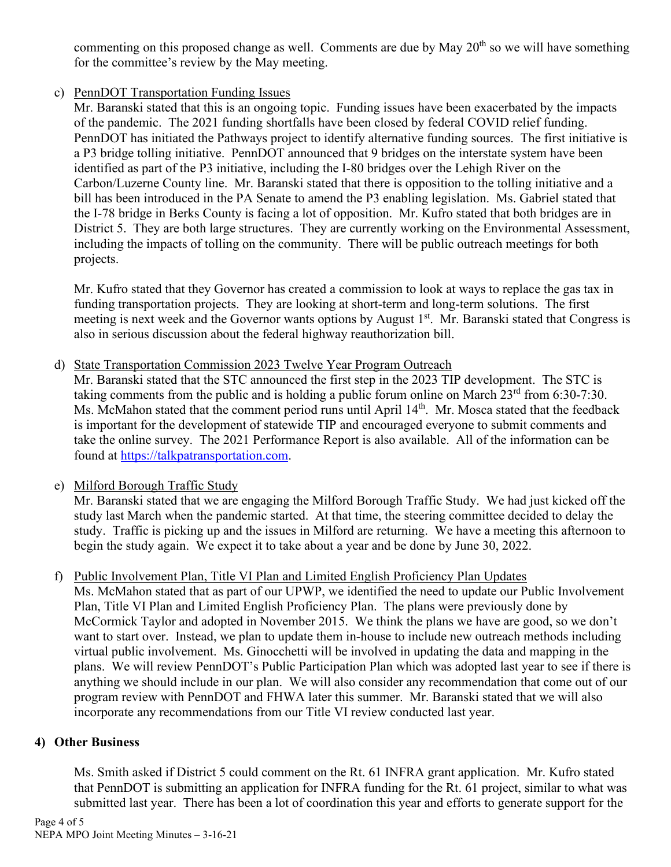commenting on this proposed change as well. Comments are due by May  $20<sup>th</sup>$  so we will have something for the committee's review by the May meeting.

## c) PennDOT Transportation Funding Issues

Mr. Baranski stated that this is an ongoing topic. Funding issues have been exacerbated by the impacts of the pandemic. The 2021 funding shortfalls have been closed by federal COVID relief funding. PennDOT has initiated the Pathways project to identify alternative funding sources. The first initiative is a P3 bridge tolling initiative. PennDOT announced that 9 bridges on the interstate system have been identified as part of the P3 initiative, including the I-80 bridges over the Lehigh River on the Carbon/Luzerne County line. Mr. Baranski stated that there is opposition to the tolling initiative and a bill has been introduced in the PA Senate to amend the P3 enabling legislation. Ms. Gabriel stated that the I-78 bridge in Berks County is facing a lot of opposition. Mr. Kufro stated that both bridges are in District 5. They are both large structures. They are currently working on the Environmental Assessment, including the impacts of tolling on the community. There will be public outreach meetings for both projects.

Mr. Kufro stated that they Governor has created a commission to look at ways to replace the gas tax in funding transportation projects. They are looking at short-term and long-term solutions. The first meeting is next week and the Governor wants options by August 1<sup>st</sup>. Mr. Baranski stated that Congress is also in serious discussion about the federal highway reauthorization bill.

## d) State Transportation Commission 2023 Twelve Year Program Outreach

Mr. Baranski stated that the STC announced the first step in the 2023 TIP development. The STC is taking comments from the public and is holding a public forum online on March  $23<sup>rd</sup>$  from 6:30-7:30. Ms. McMahon stated that the comment period runs until April 14<sup>th</sup>. Mr. Mosca stated that the feedback is important for the development of statewide TIP and encouraged everyone to submit comments and take the online survey. The 2021 Performance Report is also available. All of the information can be found at [https://talkpatransportation.com.](https://talkpatransportation.com/)

# e) Milford Borough Traffic Study

Mr. Baranski stated that we are engaging the Milford Borough Traffic Study. We had just kicked off the study last March when the pandemic started. At that time, the steering committee decided to delay the study. Traffic is picking up and the issues in Milford are returning. We have a meeting this afternoon to begin the study again. We expect it to take about a year and be done by June 30, 2022.

## f) Public Involvement Plan, Title VI Plan and Limited English Proficiency Plan Updates

Ms. McMahon stated that as part of our UPWP, we identified the need to update our Public Involvement Plan, Title VI Plan and Limited English Proficiency Plan. The plans were previously done by McCormick Taylor and adopted in November 2015. We think the plans we have are good, so we don't want to start over. Instead, we plan to update them in-house to include new outreach methods including virtual public involvement. Ms. Ginocchetti will be involved in updating the data and mapping in the plans. We will review PennDOT's Public Participation Plan which was adopted last year to see if there is anything we should include in our plan. We will also consider any recommendation that come out of our program review with PennDOT and FHWA later this summer. Mr. Baranski stated that we will also incorporate any recommendations from our Title VI review conducted last year.

## **4) Other Business**

Ms. Smith asked if District 5 could comment on the Rt. 61 INFRA grant application. Mr. Kufro stated that PennDOT is submitting an application for INFRA funding for the Rt. 61 project, similar to what was submitted last year. There has been a lot of coordination this year and efforts to generate support for the